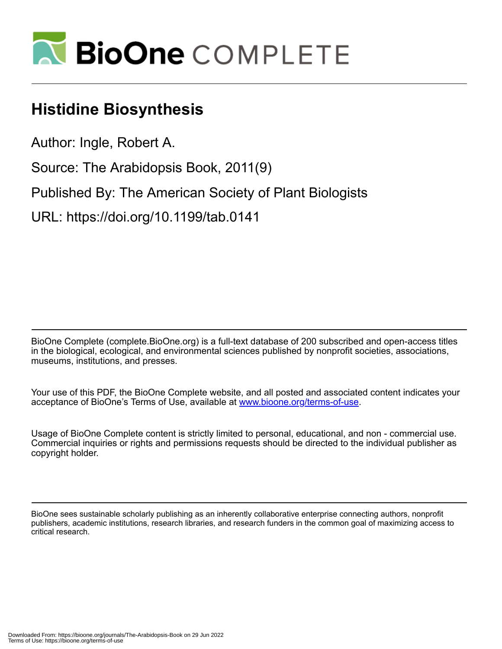

# **Histidine Biosynthesis**

Author: Ingle, Robert A.

Source: The Arabidopsis Book, 2011(9)

Published By: The American Society of Plant Biologists

URL: https://doi.org/10.1199/tab.0141

BioOne Complete (complete.BioOne.org) is a full-text database of 200 subscribed and open-access titles in the biological, ecological, and environmental sciences published by nonprofit societies, associations, museums, institutions, and presses.

Your use of this PDF, the BioOne Complete website, and all posted and associated content indicates your acceptance of BioOne's Terms of Use, available at www.bioone.org/terms-of-use.

Usage of BioOne Complete content is strictly limited to personal, educational, and non - commercial use. Commercial inquiries or rights and permissions requests should be directed to the individual publisher as copyright holder.

BioOne sees sustainable scholarly publishing as an inherently collaborative enterprise connecting authors, nonprofit publishers, academic institutions, research libraries, and research funders in the common goal of maximizing access to critical research.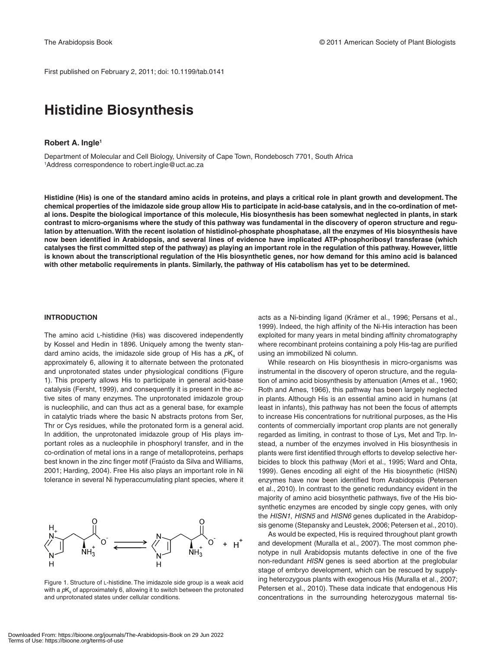First published on February 2, 2011; doi: 10.1199/tab.0141

# **Histidine Biosynthesis**

### **Robert A. Ingle1**

Department of Molecular and Cell Biology, University of Cape Town, Rondebosch 7701, South Africa 1 Address correspondence to robert.ingle@uct.ac.za

**Histidine (His) is one of the standard amino acids in proteins, and plays a critical role in plant growth and development. The chemical properties of the imidazole side group allow His to participate in acid-base catalysis, and in the co-ordination of metal ions. Despite the biological importance of this molecule, His biosynthesis has been somewhat neglected in plants, in stark contrast to micro-organisms where the study of this pathway was fundamental in the discovery of operon structure and regulation by attenuation. With the recent isolation of histidinol-phosphate phosphatase, all the enzymes of His biosynthesis have now been identified in Arabidopsis, and several lines of evidence have implicated ATP-phosphoribosyl transferase (which catalyses the first committed step of the pathway) as playing an important role in the regulation of this pathway. However, little is known about the transcriptional regulation of the His biosynthetic genes, nor how demand for this amino acid is balanced with other metabolic requirements in plants. Similarly, the pathway of His catabolism has yet to be determined.** 

#### **INTRODUCTION**

The amino acid L-histidine (His) was discovered independently by Kossel and Hedin in 1896. Uniquely among the twenty standard amino acids, the imidazole side group of His has a  $pK<sub>a</sub>$  of approximately 6, allowing it to alternate between the protonated and unprotonated states under physiological conditions (Figure 1). This property allows His to participate in general acid-base catalysis (Fersht, 1999), and consequently it is present in the active sites of many enzymes. The unprotonated imidazole group is nucleophilic, and can thus act as a general base, for example in catalytic triads where the basic N abstracts protons from Ser, Thr or Cys residues, while the protonated form is a general acid. In addition, the unprotonated imidazole group of His plays important roles as a nucleophile in phosphoryl transfer, and in the co-ordination of metal ions in a range of metalloproteins, perhaps best known in the zinc finger motif (Fraústo da Silva and Williams, 2001; Harding, 2004). Free His also plays an important role in Ni tolerance in several Ni hyperaccumulating plant species, where it



Figure 1. Structure of L-histidine. The imidazole side group is a weak acid with a  $pK<sub>a</sub>$  of approximately 6, allowing it to switch between the protonated and unprotonated states under cellular conditions.

acts as a Ni-binding ligand (Krämer et al., 1996; Persans et al., 1999). Indeed, the high affinity of the Ni-His interaction has been exploited for many years in metal binding affinity chromatography where recombinant proteins containing a poly His-tag are purified using an immobilized Ni column.

While research on His biosynthesis in micro-organisms was instrumental in the discovery of operon structure, and the regulation of amino acid biosynthesis by attenuation (Ames et al., 1960; Roth and Ames, 1966), this pathway has been largely neglected in plants. Although His is an essential amino acid in humans (at least in infants), this pathway has not been the focus of attempts to increase His concentrations for nutritional purposes, as the His contents of commercially important crop plants are not generally regarded as limiting, in contrast to those of Lys, Met and Trp. Instead, a number of the enzymes involved in His biosynthesis in plants were first identified through efforts to develop selective herbicides to block this pathway (Mori et al., 1995; Ward and Ohta, 1999). Genes encoding all eight of the His biosynthetic (HISN) enzymes have now been identified from Arabidopsis (Petersen et al., 2010). In contrast to the genetic redundancy evident in the majority of amino acid biosynthetic pathways, five of the His biosynthetic enzymes are encoded by single copy genes, with only the *HISN1*, *HISN5* and *HISN6* genes duplicated in the Arabidopsis genome (Stepansky and Leustek, 2006; Petersen et al., 2010).

As would be expected, His is required throughout plant growth and development (Muralla et al., 2007). The most common phenotype in null Arabidopsis mutants defective in one of the five non-redundant *HISN* genes is seed abortion at the preglobular stage of embryo development, which can be rescued by supplying heterozygous plants with exogenous His (Muralla et al., 2007; Petersen et al., 2010). These data indicate that endogenous His concentrations in the surrounding heterozygous maternal tis-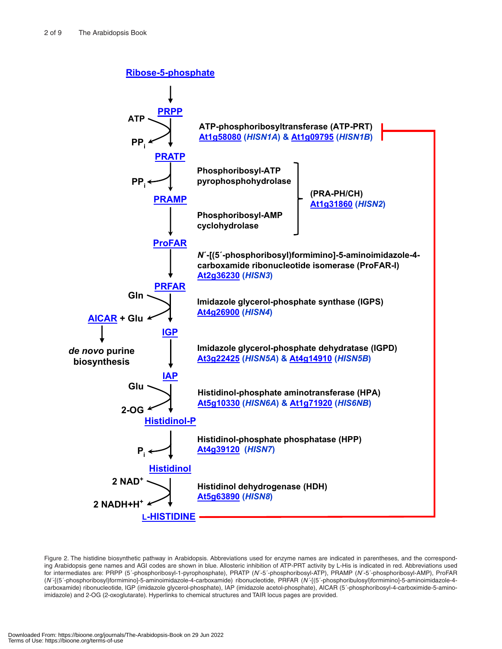

Figure 2. The histidine biosynthetic pathway in Arabidopsis. Abbreviations used for enzyme names are indicated in parentheses, and the corresponding Arabidopsis gene names and AGI codes are shown in blue. Allosteric inhibition of ATP-PRT activity by L-His is indicated in red. Abbreviations used for intermediates are: PRPP (5´-phosphoribosyl-1-pyrophosphate), PRATP (*N*´-5´-phosphoribosyl-ATP), PRAMP (*N*´-5´-phosphoribosyl-AMP), ProFAR (*N´*-[(5´-phosphoribosyl)formimino]-5-aminoimidazole-4-carboxamide) ribonucleotide, PRFAR (*N´*-[(5´-phosphoribulosyl)formimino]-5-aminoimidazole-4 carboxamide) ribonucleotide, IGP (imidazole glycerol-phosphate), IAP (imidazole acetol-phosphate), AICAR (5´-phosphoribosyl-4-carboximide-5-aminoimidazole) and 2-OG (2-oxoglutarate). Hyperlinks to chemical structures and TAIR locus pages are provided.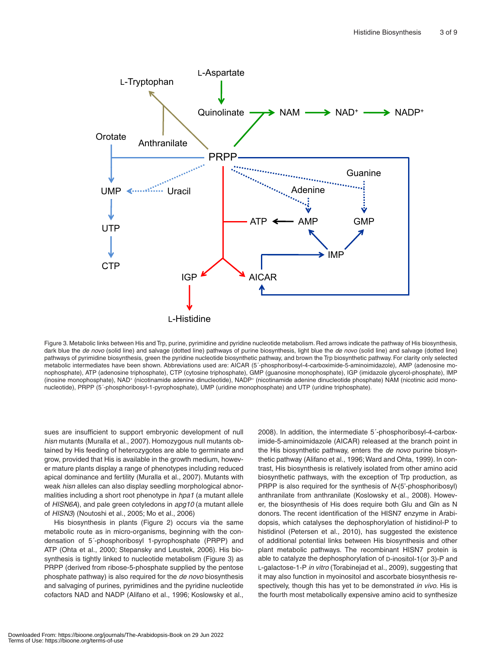

Figure 3. Metabolic links between His and Trp, purine, pyrimidine and pyridine nucleotide metabolism. Red arrows indicate the pathway of His biosynthesis, dark blue the *de novo* (solid line) and salvage (dotted line) pathways of purine biosynthesis, light blue the *de novo* (solid line) and salvage (dotted line) pathways of pyrimidine biosynthesis, green the pyridine nucleotide biosynthetic pathway, and brown the Trp biosynthetic pathway. For clarity only selected metabolic intermediates have been shown. Abbreviations used are: AICAR (5´-phosphoribosyl-4-carboximide-5-aminoimidazole), AMP (adenosine monophosphate), ATP (adenosine triphosphate), CTP (cytosine triphosphate), GMP (guanosine monophosphate), IGP (imidazole glycerol-phosphate), IMP (inosine monophosphate), NAD+ (nicotinamide adenine dinucleotide), NADP+ (nicotinamide adenine dinucleotide phosphate) NAM (nicotinic acid mononucleotide), PRPP (5´-phosphoribosyl-1-pyrophosphate), UMP (uridine monophosphate) and UTP (uridine triphosphate).

sues are insufficient to support embryonic development of null *hisn* mutants (Muralla et al., 2007). Homozygous null mutants obtained by His feeding of heterozygotes are able to germinate and grow, provided that His is available in the growth medium, however mature plants display a range of phenotypes including reduced apical dominance and fertility (Muralla et al., 2007). Mutants with weak *hisn* alleles can also display seedling morphological abnormalities including a short root phenotype in *hpa1* (a mutant allele of *HISN6A*), and pale green cotyledons in *apg10* (a mutant allele of *HISN3*) (Noutoshi et al., 2005; Mo et al., 2006)

His biosynthesis in plants (Figure 2) occurs via the same metabolic route as in micro-organisms, beginning with the condensation of 5´-phosphoribosyl 1-pyrophosphate (PRPP) and ATP (Ohta et al., 2000; Stepansky and Leustek, 2006). His biosynthesis is tightly linked to nucleotide metabolism (Figure 3) as PRPP (derived from ribose-5-phosphate supplied by the pentose phosphate pathway) is also required for the *de novo* biosynthesis and salvaging of purines, pyrimidines and the pyridine nucleotide cofactors NAD and NADP (Alifano et al., 1996; Koslowsky et al., 2008). In addition, the intermediate 5´-phosphoribosyl-4-carboximide-5-aminoimidazole (AICAR) released at the branch point in the His biosynthetic pathway, enters the *de novo* purine biosynthetic pathway (Alifano et al., 1996; Ward and Ohta, 1999). In contrast, His biosynthesis is relatively isolated from other amino acid biosynthetic pathways, with the exception of Trp production, as PRPP is also required for the synthesis of *N*-(5'-phosphoribosyl) anthranilate from anthranilate (Koslowsky et al., 2008). However, the biosynthesis of His does require both Glu and Gln as N donors. The recent identification of the HISN7 enzyme in Arabidopsis, which catalyses the dephosphorylation of histidinol-P to histidinol (Petersen et al., 2010), has suggested the existence of additional potential links between His biosynthesis and other plant metabolic pathways. The recombinant HISN7 protein is able to catalyze the dephosphorylation of D-inositol-1(or 3)-P and L-galactose-1-P *in vitro* (Torabinejad et al., 2009), suggesting that it may also function in myoinositol and ascorbate biosynthesis respectively, though this has yet to be demonstrated *in vivo*. His is the fourth most metabolically expensive amino acid to synthesize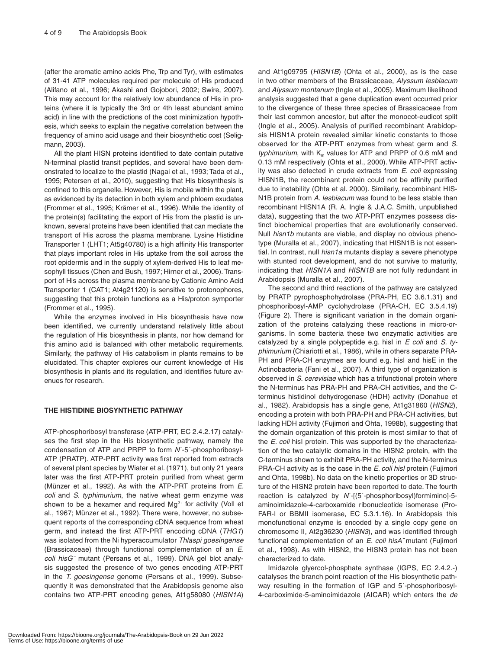(after the aromatic amino acids Phe, Trp and Tyr), with estimates of 31-41 ATP molecules required per molecule of His produced (Alifano et al., 1996; Akashi and Gojobori, 2002; Swire, 2007). This may account for the relatively low abundance of His in proteins (where it is typically the 3rd or 4th least abundant amino acid) in line with the predictions of the cost minimization hypothesis, which seeks to explain the negative correlation between the frequency of amino acid usage and their biosynthetic cost (Seligmann, 2003).

All the plant HISN proteins identified to date contain putative N-terminal plastid transit peptides, and several have been demonstrated to localize to the plastid (Nagai et al., 1993; Tada et al., 1995; Petersen et al., 2010), suggesting that His biosynthesis is confined to this organelle. However, His is mobile within the plant, as evidenced by its detection in both xylem and phloem exudates (Frommer et al., 1995; Krämer et al., 1996). While the identity of the protein(s) facilitating the export of His from the plastid is unknown, several proteins have been identified that can mediate the transport of His across the plasma membrane. Lysine Histidine Transporter 1 (LHT1; At5g40780) is a high affinity His transporter that plays important roles in His uptake from the soil across the root epidermis and in the supply of xylem-derived His to leaf mesophyll tissues (Chen and Bush, 1997; Hirner et al., 2006). Transport of His across the plasma membrane by Cationic Amino Acid Transporter 1 (CAT1; At4g21120) is sensitive to protonophores, suggesting that this protein functions as a His/proton symporter (Frommer et al., 1995).

While the enzymes involved in His biosynthesis have now been identified, we currently understand relatively little about the regulation of His biosynthesis in plants, nor how demand for this amino acid is balanced with other metabolic requirements. Similarly, the pathway of His catabolism in plants remains to be elucidated. This chapter explores our current knowledge of His biosynthesis in plants and its regulation, and identifies future avenues for research.

## **THE HISTIDINE BIOSYNTHETIC PATHWAY**

ATP-phosphoribosyl transferase (ATP-PRT, EC 2.4.2.17) catalyses the first step in the His biosynthetic pathway, namely the condensation of ATP and PRPP to form *N*´-5´-phosphoribosyl-ATP (PRATP). ATP-PRT activity was first reported from extracts of several plant species by Wiater et al. (1971), but only 21 years later was the first ATP-PRT protein purified from wheat germ (Münzer et al., 1992). As with the ATP-PRT proteins from *E. coli* and *S. typhimurium*, the native wheat germ enzyme was shown to be a hexamer and required  $Mq^{2+}$  for activity (Voll et al., 1967; Münzer et al., 1992). There were, however, no subsequent reports of the corresponding cDNA sequence from wheat germ, and instead the first ATP-PRT encoding cDNA (*THG1*) was isolated from the Ni hyperaccumulator *Thlaspi goesingense* (Brassicaceae) through functional complementation of an *E. coli hisG¯* mutant (Persans et al., 1999). DNA gel blot analysis suggested the presence of two genes encoding ATP-PRT in the *T. goesingense* genome (Persans et al., 1999). Subsequently it was demonstrated that the Arabidopsis genome also contains two ATP-PRT encoding genes, At1g58080 (*HISN1A*)

and At1g09795 (*HISN1B*) (Ohta et al., 2000), as is the case in two other members of the Brassicaceae, *Alyssum lesbiacum* and *Alyssum montanum* (Ingle et al., 2005). Maximum likelihood analysis suggested that a gene duplication event occurred prior to the divergence of these three species of Brassicaceae from their last common ancestor, but after the monocot-eudicot split (Ingle et al., 2005). Analysis of purified recombinant Arabidopsis HISN1A protein revealed similar kinetic constants to those observed for the ATP-PRT enzymes from wheat germ and *S. typhimurium*, with  $K_m$  values for ATP and PRPP of 0.6 mM and 0.13 mM respectively (Ohta et al., 2000). While ATP-PRT activity was also detected in crude extracts from *E. coli* expressing HISN1B, the recombinant protein could not be affinity purified due to instability (Ohta et al. 2000). Similarly, recombinant HIS-N1B protein from *A. lesbiacum* was found to be less stable than recombinant HISN1A (R. A. Ingle & J.A.C. Smith, unpublished data), suggesting that the two ATP-PRT enzymes possess distinct biochemical properties that are evolutionarily conserved. Null *hisn1b* mutants are viable, and display no obvious phenotype (Muralla et al., 2007), indicating that HISN1B is not essential. In contrast, null *hisn1a* mutants display a severe phenotype with stunted root development, and do not survive to maturity, indicating that *HISN1A* and *HISN1B* are not fully redundant in Arabidopsis (Muralla et al., 2007).

The second and third reactions of the pathway are catalyzed by PRATP pyrophosphohydrolase (PRA-PH, EC 3.6.1.31) and phosphoribosyl-AMP cyclohydrolase (PRA-CH, EC 3.5.4.19) (Figure 2). There is significant variation in the domain organization of the proteins catalyzing these reactions in micro-organisms. In some bacteria these two enzymatic activities are catalyzed by a single polypeptide e.g. hisI in *E coli* and *S. typhimurium* (Chiariotti et al., 1986), while in others separate PRA-PH and PRA-CH enzymes are found e.g. hisI and hisE in the Actinobacteria (Fani et al., 2007). A third type of organization is observed in *S. cerevisiae* which has a trifunctional protein where the N-terminus has PRA-PH and PRA-CH activities, and the Cterminus histidinol dehydrogenase (HDH) activity (Donahue et al., 1982). Arabidopsis has a single gene, At1g31860 (*HISN2*), encoding a protein with both PRA-PH and PRA-CH activities, but lacking HDH activity (Fujimori and Ohta, 1998b), suggesting that the domain organization of this protein is most similar to that of the *E. coli* hisI protein. This was supported by the characterization of the two catalytic domains in the HISN2 protein, with the C-terminus shown to exhibit PRA-PH activity, and the N-terminus PRA-CH activity as is the case in the *E. coli hisI* protein (Fujimori and Ohta, 1998b). No data on the kinetic properties or 3D structure of the HISN2 protein have been reported to date. The fourth reaction is catalyzed by *N*´-[(5´-phosphoribosyl)formimino]-5 aminoimidazole-4-carboxamide ribonucleotide isomerase (Pro-FAR-I or BBMII isomerase, EC 5.3.1.16). In Arabidopsis this monofunctional enzyme is encoded by a single copy gene on chromosome II, At2g36230 (*HISN3*), and was identified through functional complementation of an *E. coli hisA¯* mutant (Fujimori et al., 1998). As with HISN2, the HISN3 protein has not been characterized to date.

Imidazole glyercol-phosphate synthase (IGPS, EC 2.4.2.-) catalyses the branch point reaction of the His biosynthetic pathway resulting in the formation of IGP and 5´-phosphoribosyl-4-carboximide-5-aminoimidazole (AICAR) which enters the *de*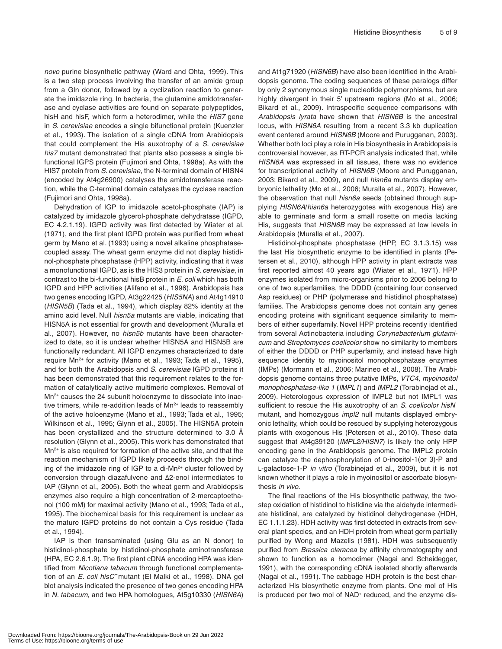*novo* purine biosynthetic pathway (Ward and Ohta, 1999). This is a two step process involving the transfer of an amide group from a Gln donor, followed by a cyclization reaction to generate the imidazole ring. In bacteria, the glutamine amidotransferase and cyclase activities are found on separate polypeptides, hisH and hisF, which form a heterodimer, while the *HIS7* gene in *S. cerevisiae* encodes a single bifunctional protein (Kuenzler et al., 1993). The isolation of a single cDNA from Arabidopsis that could complement the His auxotrophy of a *S. cerevisiae his7* mutant demonstrated that plants also possess a single bifunctional IGPS protein (Fujimori and Ohta, 1998a). As with the HIS7 protein from *S. cerevisiae*, the N-terminal domain of HISN4 (encoded by At4g26900) catalyses the amidotransferase reaction, while the C-terminal domain catalyses the cyclase reaction (Fujimori and Ohta, 1998a).

Dehydration of IGP to imidazole acetol-phosphate (IAP) is catalyzed by imidazole glycerol-phosphate dehydratase (IGPD, EC 4.2.1.19). IGPD activity was first detected by Wiater et al. (1971), and the first plant IGPD protein was purified from wheat germ by Mano et al. (1993) using a novel alkaline phosphatasecoupled assay. The wheat germ enzyme did not display histidinol-phosphate phosphatase (HPP) activity, indicating that it was a monofunctional IGPD, as is the HIS3 protein in *S. cerevisiae*, in contrast to the bi-functional hisB protein in *E. coli* which has both IGPD and HPP activities (Alifano et al., 1996). Arabidopsis has two genes encoding IGPD, At3g22425 (*HIS5NA*) and At4g14910 (*HISN5B*) (Tada et al., 1994), which display 82% identity at the amino acid level. Null *hisn5a* mutants are viable, indicating that HISN5A is not essential for growth and development (Muralla et al., 2007). However, no *hisn5b* mutants have been characterized to date, so it is unclear whether HISN5A and HISN5B are functionally redundant. All IGPD enzymes characterized to date require Mn<sup>2+</sup> for activity (Mano et al., 1993; Tada et al., 1995), and for both the Arabidopsis and *S. cerevisiae* IGPD proteins it has been demonstrated that this requirement relates to the formation of catalytically active multimeric complexes. Removal of Mn<sup>2+</sup> causes the 24 subunit holoenzyme to dissociate into inactive trimers, while re-addition leads of Mn<sup>2+</sup> leads to reassembly of the active holoenzyme (Mano et al., 1993; Tada et al., 1995; Wilkinson et al., 1995; Glynn et al., 2005). The HISN5A protein has been crystallized and the structure determined to 3.0 Å resolution (Glynn et al., 2005). This work has demonstrated that Mn2+ is also required for formation of the active site, and that the reaction mechanism of IGPD likely proceeds through the binding of the imidazole ring of IGP to a di-Mn<sup>2+</sup> cluster followed by conversion through diazafulvene and Δ2-enol intermediates to IAP (Glynn et al., 2005). Both the wheat germ and Arabidopsis enzymes also require a high concentration of 2-mercaptoethanol (100 mM) for maximal activity (Mano et al., 1993; Tada et al., 1995). The biochemical basis for this requirement is unclear as the mature IGPD proteins do not contain a Cys residue (Tada et al., 1994).

IAP is then transaminated (using Glu as an N donor) to histidinol-phosphate by histidinol-phosphate aminotransferase (HPA, EC 2.6.1.9). The first plant cDNA encoding HPA was identified from *Nicotiana tabacum* through functional complementation of an *E. coli hisC¯* mutant (El Malki et al., 1998). DNA gel blot analysis indicated the presence of two genes encoding HPA in *N. tabacum*, and two HPA homologues, At5g10330 (*HISN6A*) and At1g71920 (*HISN6B*) have also been identified in the Arabidopsis genome. The coding sequences of these paralogs differ by only 2 synonymous single nucleotide polymorphisms, but are highly divergent in their 5' upstream regions (Mo et al., 2006; Bikard et al., 2009). Intraspecific sequence comparisons with *Arabidopsis lyrata* have shown that *HISN6B* is the ancestral locus, with *HISN6A* resulting from a recent 3.3 kb duplication event centered around *HISN6B* (Moore and Purugganan, 2003). Whether both loci play a role in His biosynthesis in Arabidopsis is controversial however, as RT-PCR analysis indicated that, while *HISN6A* was expressed in all tissues, there was no evidence for transcriptional activity of *HISN6B* (Moore and Purugganan, 2003; Bikard et al., 2009), and null *hisn6a* mutants display embryonic lethality (Mo et al., 2006; Muralla et al., 2007). However, the observation that null *hisn6a* seeds (obtained through supplying *HISN6A*/*hisn6a* heterozygotes with exogenous His) are able to germinate and form a small rosette on media lacking His, suggests that *HISN6B* may be expressed at low levels in Arabidopsis (Muralla et al., 2007).

Histidinol-phosphate phosphatase (HPP, EC 3.1.3.15) was the last His biosynthetic enzyme to be identified in plants (Petersen et al., 2010), although HPP activity in plant extracts was first reported almost 40 years ago (Wiater et al., 1971). HPP enzymes isolated from micro-organisms prior to 2006 belong to one of two superfamilies, the DDDD (containing four conserved Asp residues) or PHP (polymerase and histidinol phosphatase) families. The Arabidopsis genome does not contain any genes encoding proteins with significant sequence similarity to members of either superfamily. Novel HPP proteins recently identified from several Actinobacteria including *Corynebacterium glutamicum* and *Streptomyces coelicolor* show no similarity to members of either the DDDD or PHP superfamily, and instead have high sequence identity to myoinositol monophosphatase enzymes (IMPs) (Mormann et al., 2006; Marineo et al., 2008). The Arabidopsis genome contains three putative IMPs, *VTC4, myoinositol monophosphatase-like 1* (*IMPL1*) and *IMPL2* (Torabinejad et al., 2009). Heterologous expression of IMPL2 but not IMPL1 was sufficient to rescue the His auxotrophy of an *S. coelicolor hisN¯* mutant, and homozygous *impl2* null mutants displayed embryonic lethality, which could be rescued by supplying heterozygous plants with exogenous His (Petersen et al., 2010). These data suggest that At4g39120 (*IMPL2/HISN7*) is likely the only HPP encoding gene in the Arabidopsis genome. The IMPL2 protein can catalyze the dephosphorylation of D-inositol-1(or 3)-P and L-galactose-1-P *in vitro* (Torabinejad et al., 2009), but it is not known whether it plays a role in myoinositol or ascorbate biosynthesis *in vivo*.

The final reactions of the His biosynthetic pathway, the twostep oxidation of histidinol to histidine via the aldehyde intermediate histidinal, are catalyzed by histidinol dehydrogenase (HDH, EC 1.1.1.23). HDH activity was first detected in extracts from several plant species, and an HDH protein from wheat germ partially purified by Wong and Mazelis (1981). HDH was subsequently purified from *Brassica oleracea* by affinity chromatography and shown to function as a homodimer (Nagai and Scheidegger, 1991), with the corresponding cDNA isolated shortly afterwards (Nagai et al., 1991). The cabbage HDH protein is the best characterized His biosynthetic enzyme from plants. One mol of His is produced per two mol of NAD<sup>+</sup> reduced, and the enzyme dis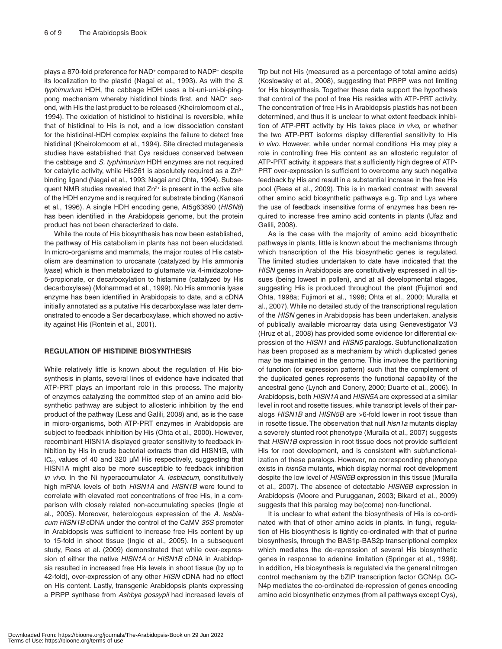plays a 870-fold preference for NAD<sup>+</sup> compared to NADP<sup>+</sup> despite its localization to the plastid (Nagai et al., 1993). As with the *S. typhimurium* HDH, the cabbage HDH uses a bi-uni-uni-bi-pingpong mechanism whereby histidinol binds first, and NAD<sup>+</sup> second, with His the last product to be released (Kheirolomoom et al., 1994). The oxidation of histidinol to histidinal is reversible, while that of histidinal to His is not, and a low dissociation constant for the histidinal-HDH complex explains the failure to detect free histidinal (Kheirolomoom et al., 1994). Site directed mutagenesis studies have established that Cys residues conserved between the cabbage and *S. typhimurium* HDH enzymes are not required for catalytic activity, while His261 is absolutely required as a  $Zn^{2+}$ binding ligand (Nagai et al., 1993; Nagai and Ohta, 1994). Subsequent NMR studies revealed that Zn<sup>2+</sup> is present in the active site of the HDH enzyme and is required for substrate binding (Kanaori et al., 1996). A single HDH encoding gene, At5g63890 (*HISN8*) has been identified in the Arabidopsis genome, but the protein product has not been characterized to date.

While the route of His biosynthesis has now been established, the pathway of His catabolism in plants has not been elucidated. In micro-organisms and mammals, the major routes of His catabolism are deamination to urocanate (catalyzed by His ammonia lyase) which is then metabolized to glutamate via 4-imidazolone-5-propionate, or decarboxylation to histamine (catalyzed by His decarboxylase) (Mohammad et al., 1999). No His ammonia lyase enzyme has been identified in Arabidopsis to date, and a cDNA initially annotated as a putative His decarboxylase was later demonstrated to encode a Ser decarboxylase, which showed no activity against His (Rontein et al., 2001).

### **REGULATION OF HISTIDINE BIOSYNTHESIS**

While relatively little is known about the regulation of His biosynthesis in plants, several lines of evidence have indicated that ATP-PRT plays an important role in this process. The majority of enzymes catalyzing the committed step of an amino acid biosynthetic pathway are subject to allosteric inhibition by the end product of the pathway (Less and Galili, 2008) and, as is the case in micro-organisms, both ATP-PRT enzymes in Arabidopsis are subject to feedback inhibition by His (Ohta et al., 2000). However, recombinant HISN1A displayed greater sensitivity to feedback inhibition by His in crude bacterial extracts than did HISN1B, with  $IC_{50}$  values of 40 and 320  $µ$ M His respectively, suggesting that HISN1A might also be more susceptible to feedback inhibition *in vivo*. In the Ni hyperaccumulator *A. lesbiacum*, constitutively high mRNA levels of both *HISN1A* and *HISN1B* were found to correlate with elevated root concentrations of free His, in a comparison with closely related non-accumulating species (Ingle et al., 2005). Moreover, heterologous expression of the *A. lesbiacum HISN1B* cDNA under the control of the CaMV *35S* promoter in Arabidopsis was sufficient to increase free His content by up to 15-fold in shoot tissue (Ingle et al., 2005). In a subsequent study, Rees et al. (2009) demonstrated that while over-expression of either the native *HISN1A* or *HISN1B* cDNA in Arabidopsis resulted in increased free His levels in shoot tissue (by up to 42-fold), over-expression of any other *HISN* cDNA had no effect on His content. Lastly, transgenic Arabidopsis plants expressing a PRPP synthase from *Ashbya gossypii* had increased levels of

Trp but not His (measured as a percentage of total amino acids) (Koslowsky et al., 2008), suggesting that PRPP was not limiting for His biosynthesis. Together these data support the hypothesis that control of the pool of free His resides with ATP-PRT activity. The concentration of free His in Arabidopsis plastids has not been determined, and thus it is unclear to what extent feedback inhibition of ATP-PRT activity by His takes place *in vivo*, or whether the two ATP-PRT isoforms display differential sensitivity to His *in vivo*. However, while under normal conditions His may play a role in controlling free His content as an allosteric regulator of ATP-PRT activity, it appears that a sufficiently high degree of ATP-PRT over-expression is sufficient to overcome any such negative feedback by His and result in a substantial increase in the free His pool (Rees et al., 2009). This is in marked contrast with several other amino acid biosynthetic pathways e.g. Trp and Lys where the use of feedback insensitive forms of enzymes has been required to increase free amino acid contents in plants (Ufaz and Galili, 2008).

As is the case with the majority of amino acid biosynthetic pathways in plants, little is known about the mechanisms through which transcription of the His biosynthetic genes is regulated. The limited studies undertaken to date have indicated that the *HISN* genes in Arabidopsis are constitutively expressed in all tissues (being lowest in pollen), and at all developmental stages, suggesting His is produced throughout the plant (Fujimori and Ohta, 1998a; Fujimori et al., 1998; Ohta et al., 2000; Muralla et al., 2007). While no detailed study of the transcriptional regulation of the *HISN* genes in Arabidopsis has been undertaken, analysis of publically available microarray data using Genevestigator V3 (Hruz et al., 2008) has provided some evidence for differential expression of the *HISN1* and *HISN5* paralogs. Subfunctionalization has been proposed as a mechanism by which duplicated genes may be maintained in the genome. This involves the partitioning of function (or expression pattern) such that the complement of the duplicated genes represents the functional capability of the ancestral gene (Lynch and Conery, 2000; Duarte et al., 2006). In Arabidopsis, both *HISN1A* and *HISN5A* are expressed at a similar level in root and rosette tissues, while transcript levels of their paralogs *HISN1B* and *HISN5B* are >6-fold lower in root tissue than in rosette tissue. The observation that null *hisn1a* mutants display a severely stunted root phenotype (Muralla et al., 2007) suggests that *HISN1B* expression in root tissue does not provide sufficient His for root development, and is consistent with subfunctionalization of these paralogs. However, no corresponding phenotype exists in *hisn5a* mutants, which display normal root development despite the low level of *HISN5B* expression in this tissue (Muralla et al., 2007). The absence of detectable *HISN6B* expression in Arabidopsis (Moore and Purugganan, 2003; Bikard et al., 2009) suggests that this paralog may be(come) non-functional.

It is unclear to what extent the biosynthesis of His is co-ordinated with that of other amino acids in plants. In fungi, regulation of His biosynthesis is tightly co-ordinated with that of purine biosynthesis, through the BAS1p-BAS2p transcriptional complex which mediates the de-repression of several His biosynthetic genes in response to adenine limitation (Springer et al., 1996). In addition, His biosynthesis is regulated via the general nitrogen control mechanism by the bZIP transcription factor GCN4p. GC-N4p mediates the co-ordinated de-repression of genes encoding amino acid biosynthetic enzymes (from all pathways except Cys),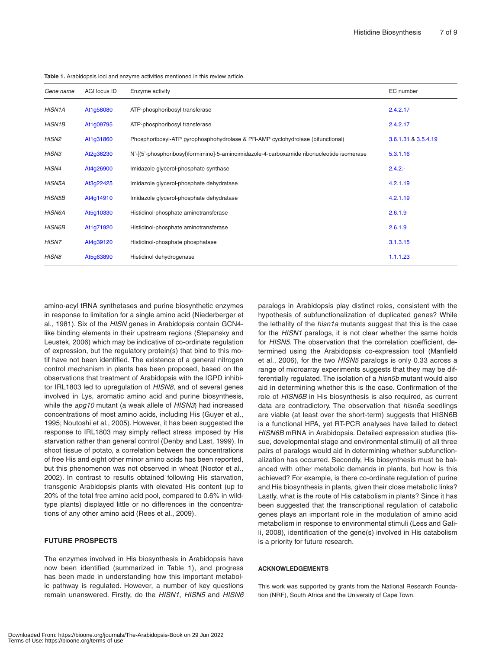| <b>Table 1.</b> Arabidopsis foci and enzyme activities mentioned in this review article. |              |                                                                                           |                     |
|------------------------------------------------------------------------------------------|--------------|-------------------------------------------------------------------------------------------|---------------------|
| Gene name                                                                                | AGI locus ID | Enzyme activity                                                                           | EC number           |
| <b>HISN1A</b>                                                                            | At1g58080    | ATP-phosphoribosyl transferase                                                            | 2.4.2.17            |
| <b>HISN1B</b>                                                                            | At1g09795    | ATP-phosphoribosyl transferase                                                            | 2.4.2.17            |
| HISN2                                                                                    | At1g31860    | Phosphoribosyl-ATP pyrophosphohydrolase & PR-AMP cyclohydrolase (bifunctional)            | 3.6.1.31 & 3.5.4.19 |
| <b>HISN3</b>                                                                             | At2g36230    | N'-[(5'-phosphoribosyl)formimino]-5-aminoimidazole-4-carboxamide ribonucleotide isomerase | 5.3.1.16            |
| HISN4                                                                                    | At4g26900    | Imidazole glycerol-phosphate synthase                                                     | $2.4.2 -$           |
| <b>HISN5A</b>                                                                            | At3g22425    | Imidazole glycerol-phosphate dehydratase                                                  | 4.2.1.19            |
| <b>HISN5B</b>                                                                            | At4q14910    | Imidazole glycerol-phosphate dehydratase                                                  | 4.2.1.19            |
| <b>HISN6A</b>                                                                            | At5q10330    | Histidinol-phosphate aminotransferase                                                     | 2.6.1.9             |
| <b>HISN6B</b>                                                                            | At1g71920    | Histidinol-phosphate aminotransferase                                                     | 2.6.1.9             |
| HISN7                                                                                    | At4g39120    | Histidinol-phosphate phosphatase                                                          | 3.1.3.15            |
| HISN <sub>8</sub>                                                                        | At5g63890    | Histidinol dehydrogenase                                                                  | 1.1.1.23            |

**Table 1.** Arabidopsis loci and enzyme activities mentioned in this review article.

amino-acyl tRNA synthetases and purine biosynthetic enzymes in response to limitation for a single amino acid (Niederberger et al., 1981). Six of the *HISN* genes in Arabidopsis contain GCN4 like binding elements in their upstream regions (Stepansky and Leustek, 2006) which may be indicative of co-ordinate regulation of expression, but the regulatory protein(s) that bind to this motif have not been identified. The existence of a general nitrogen control mechanism in plants has been proposed, based on the observations that treatment of Arabidopsis with the IGPD inhibitor IRL1803 led to upregulation of *HISN8*, and of several genes involved in Lys, aromatic amino acid and purine biosynthesis, while the *apg10* mutant (a weak allele of *HISN3*) had increased concentrations of most amino acids, including His (Guyer et al., 1995; Noutoshi et al., 2005). However, it has been suggested the response to IRL1803 may simply reflect stress imposed by His starvation rather than general control (Denby and Last, 1999). In shoot tissue of potato, a correlation between the concentrations of free His and eight other minor amino acids has been reported, but this phenomenon was not observed in wheat (Noctor et al., 2002). In contrast to results obtained following His starvation, transgenic Arabidopsis plants with elevated His content (up to 20% of the total free amino acid pool, compared to 0.6% in wildtype plants) displayed little or no differences in the concentrations of any other amino acid (Rees et al., 2009).

# **FUTURE PROSPECTS**

The enzymes involved in His biosynthesis in Arabidopsis have now been identified (summarized in Table 1), and progress has been made in understanding how this important metabolic pathway is regulated. However, a number of key questions remain unanswered. Firstly, do the *HISN1*, *HISN5* and *HISN6* paralogs in Arabidopsis play distinct roles, consistent with the hypothesis of subfunctionalization of duplicated genes? While the lethality of the *hisn1a* mutants suggest that this is the case for the *HISN1* paralogs, it is not clear whether the same holds for *HISN5*. The observation that the correlation coefficient, determined using the Arabidopsis co-expression tool (Manfield et al., 2006), for the two *HISN5* paralogs is only 0.33 across a range of microarray experiments suggests that they may be differentially regulated. The isolation of a *hisn5b* mutant would also aid in determining whether this is the case. Confirmation of the role of *HISN6B* in His biosynthesis is also required, as current data are contradictory. The observation that *hisn6a* seedlings are viable (at least over the short-term) suggests that HISN6B is a functional HPA, yet RT-PCR analyses have failed to detect *HISN6B* mRNA in Arabidopsis. Detailed expression studies (tissue, developmental stage and environmental stimuli) of all three pairs of paralogs would aid in determining whether subfunctionalization has occurred. Secondly, His biosynthesis must be balanced with other metabolic demands in plants, but how is this achieved? For example, is there co-ordinate regulation of purine and His biosynthesis in plants, given their close metabolic links? Lastly, what is the route of His catabolism in plants? Since it has been suggested that the transcriptional regulation of catabolic genes plays an important role in the modulation of amino acid metabolism in response to environmental stimuli (Less and Galili, 2008), identification of the gene(s) involved in His catabolism is a priority for future research.

#### **ACKNOWLEDGEMENTS**

This work was supported by grants from the National Research Foundation (NRF), South Africa and the University of Cape Town.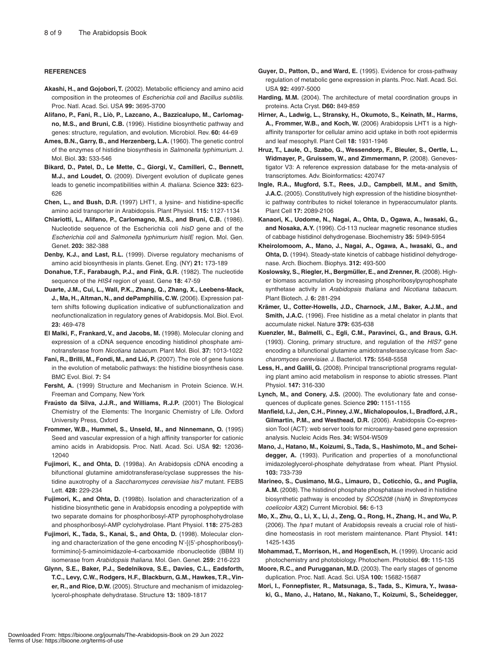#### **REFERENCES**

- **Akashi, H., and Gojobori, T.** (2002). Metabolic efficiency and amino acid composition in the proteomes of *Escherichia coli* and *Bacillus subtilis*. Proc. Natl. Acad. Sci. USA **99:** 3695-3700
- **Alifano, P., Fani, R., Liò, P., Lazcano, A., Bazzicalupo, M., Carlomagno, M.S., and Bruni, C.B.** (1996). Histidine biosynthetic pathway and genes: structure, regulation, and evolution. Microbiol. Rev. **60:** 44-69
- **Ames, B.N., Garry, B., and Herzenberg, L.A.** (1960). The genetic control of the enzymes of histidine biosynthesis in *Salmonella typhimurium*. J. Mol. Biol. **33:** 533-546
- **Bikard, D., Patel, D., Le Mette, C., Giorgi, V., Camilleri, C., Bennett, M.J., and Loudet, O.** (2009). Divergent evolution of duplicate genes leads to genetic incompatibilities within *A. thaliana.* Science **323:** 623- 626
- **Chen, L., and Bush, D.R.** (1997) LHT1, a lysine- and histidine-specific amino acid transporter in Arabidopsis. Plant Physiol. **115:** 1127-1134
- **Chiariotti, L., Alifano, P., Carlomagno, M.S., and Bruni, C.B.** (1986). Nucleotide sequence of the Escherichia coli *hisD* gene and of the *Escherichia coli* and *Salmonella typhimurium hisIE* region. Mol. Gen. Genet. **203:** 382-388
- **Denby, K.J., and Last, R.L.** (1999). Diverse regulatory mechanisms of amino acid biosynthesis in plants. Genet. Eng. (NY) **21:** 173-189
- **Donahue, T.F., Farabaugh, P.J., and Fink, G.R.** (1982). The nucleotide sequence of the *HIS4* region of yeast. Gene **18:** 47-59
- **Duarte, J.M., Cui, L., Wall, P.K., Zhang, Q., Zhang, X., Leebens-Mack, J., Ma, H., Altman, N., and dePamphilis, C.W.** (2006). Expression pattern shifts following duplication indicative of subfunctionalization and neofunctionalization in regulatory genes of Arabidopsis. Mol. Biol. Evol. **23:** 469-478
- **El Malki, F., Frankard, V., and Jacobs, M.** (1998). Molecular cloning and expression of a cDNA sequence encoding histidinol phosphate aminotransferase from *Nicotiana tabacum*. Plant Mol. Biol. **37:** 1013-1022
- **Fani, R., Brilli, M., Fondi, M., and Lió, P.** (2007). The role of gene fusions in the evolution of metabolic pathways: the histidine biosynthesis case. BMC Evol. Biol. **7:** S4
- **Fersht, A.** (1999) Structure and Mechanism in Protein Science. W.H. Freeman and Company, New York
- **Fraústo da Silva, J.J.R., and Williams, R.J.P.** (2001) The Biological Chemistry of the Elements: The Inorganic Chemistry of Life. Oxford University Press, Oxford
- **Frommer, W.B., Hummel, S., Unseld, M., and Ninnemann, O.** (1995) Seed and vascular expression of a high affinity transporter for cationic amino acids in Arabidopsis. Proc. Natl. Acad. Sci. USA **92:** 12036- 12040
- **Fujimori, K., and Ohta, D.** (1998a). An Arabidopsis cDNA encoding a bifunctional glutamine amidotransferase/cyclase suppresses the histidine auxotrophy of a *Saccharomyces cerevisiae his7* mutant. FEBS Lett. **428:** 229-234
- **Fujimori, K., and Ohta, D.** (1998b). Isolation and characterization of a histidine biosynthetic gene in Arabidopsis encoding a polypeptide with two separate domains for phosphoribosyl-ATP pyrophosphohydrolase and phosphoribosyl-AMP cyclohydrolase. Plant Physiol. **118:** 275-283
- **Fujimori, K., Tada, S., Kanai, S., and Ohta, D.** (1998). Molecular cloning and characterization of the gene encoding N'-[(5'-phosphoribosyl) formimino]-5-aminoimidazole-4-carboxamide ribonucleotide (BBM II) isomerase from *Arabidopsis thaliana*. Mol. Gen. Genet. **259:** 216-223
- **Glynn, S.E., Baker, P.J., Sedelnikova, S.E., Davies, C.L., Eadsforth, T.C., Levy, C.W., Rodgers, H.F., Blackburn, G.M., Hawkes, T.R., Viner, R., and Rice, D.W.** (2005). Structure and mechanism of imidazoleglycerol-phosphate dehydratase. Structure **13:** 1809-1817
- **Guyer, D., Patton, D., and Ward, E.** (1995). Evidence for cross-pathway regulation of metabolic gene expression in plants. Proc. Natl. Acad. Sci. USA **92:** 4997-5000
- **Harding, M.M.** (2004). The architecture of metal coordination groups in proteins. Acta Cryst. **D60:** 849-859
- **Hirner, A., Ladwig, L., Stransky, H., Okumoto, S., Keinath, M., Harms, A., Frommer, W.B., and Koch, W.** (2006) Arabidopsis LHT1 is a highaffinity transporter for cellular amino acid uptake in both root epidermis and leaf mesophyll. Plant Cell **18:** 1931-1946
- **Hruz, T., Laule, O., Szabo, G., Wessendorp, F., Bleuler, S., Oertle, L., Widmayer, P., Gruissem, W., and Zimmermann, P.** (2008). Genevestigator V3: A reference expression database for the meta-analysis of transcriptomes. Adv. Bioinformatics**:** 420747
- **Ingle, R.A., Mugford, S.T., Rees, J.D., Campbell, M.M., and Smith, J.A.C.** (2005). Constitutively high expression of the histidine biosynthetic pathway contributes to nickel tolerance in hyperaccumulator plants. Plant Cell **17:** 2089-2106
- **Kanaori, K., Uodome, N., Nagai, A., Ohta, D., Ogawa, A., Iwasaki, G., and Nosaka, A.Y.** (1996). Cd-113 nuclear magnetic resonance studies of cabbage histidinol dehydrogenase. Biochemistry **35:** 5949-5954
- **Kheirolomoom, A., Mano, J., Nagai, A., Ogawa, A., Iwasaki, G., and Ohta, D.** (1994). Steady-state kinetcis of cabbage histidinol dehydrogenase. Arch. Biochem. Biophys. **312:** 493-500
- **Koslowsky, S., Riegler, H., Bergmüller, E., and Zrenner, R.** (2008). Higher biomass accumulation by increasing phosphoribosylpyrophosphate synthetase activity in *Arabidopsis thaliana* and *Nicotiana tabacum*. Plant Biotech. J. **6:** 281-294
- **Krämer, U., Cotter-Howells, J.D., Charnock, J.M., Baker, A.J.M., and Smith, J.A.C.** (1996). Free histidine as a metal chelator in plants that accumulate nickel. Nature **379:** 635-638
- **Kuenzler, M., Balmelli, C., Egli, C.M., Paravinci, G., and Braus, G.H.** (1993). Cloning, primary structure, and regulation of the *HIS7* gene encoding a bifunctional glutamine amidotransferase:cylcase from *Saccharomyces cerevisiae*. J. Bacteriol. **175:** 5548-5558
- **Less, H., and Galili, G.** (2008). Principal transcriptional programs regulating plant amino acid metabolism in response to abiotic stresses. Plant Physiol. **147:** 316-330
- **Lynch, M., and Conery, J.S.** (2000). The evolutionary fate and consequences of duplicate genes. Science **290:** 1151-1155
- **Manfield, I.J., Jen, C.H., Pinney, J.W., Michalopoulos, I., Bradford, J.R., Gilmartin, P.M., and Westhead, D.R.** (2006). Arabidopsis Co-expression Tool (ACT): web server tools for microarray-based gene expression analysis. Nucleic Acids Res. **34:** W504-W509
- **Mano, J., Hatano, M., Koizumi, S., Tada, S., Hashimoto, M., and Scheidegger, A.** (1993). Purification and properties of a monofunctional imidazoleglycerol-phosphate dehydratase from wheat. Plant Physiol. **103:** 733-739
- **Marineo, S., Cusimano, M.G., Limauro, D., Coticchio, G., and Puglia, A.M.** (2008). The histidinol phosphate phosphatase involved in histidine biosynthetic pathway is encoded by *SCO5208* (*hisN*) in *Streptomyces coelicolor A3*(2) Current Microbiol. **56:** 6-13
- **Mo, X., Zhu, Q., Li, X., Li, J., Zeng, Q., Rong, H., Zhang, H., and Wu, P.** (2006). The *hpa1* mutant of Arabidopsis reveals a crucial role of histidine homeostasis in root meristem maintenance. Plant Physiol. **141:** 1425-1435
- **Mohammad, T., Morrison, H., and HogenEsch, H.** (1999). Urocanic acid photochemistry and photobiology. Photochem. Photobiol. **69:** 115-135
- **Moore, R.C., and Purugganan, M.D.** (2003). The early stages of genome duplication. Proc. Natl. Acad. Sci. USA **100:** 15682-15687
- **Mori, I., Fonnepfister, R., Matsunaga, S., Tada, S., Kimura, Y., Iwasaki, G., Mano, J., Hatano, M., Nakano, T., Koizumi, S., Scheidegger,**